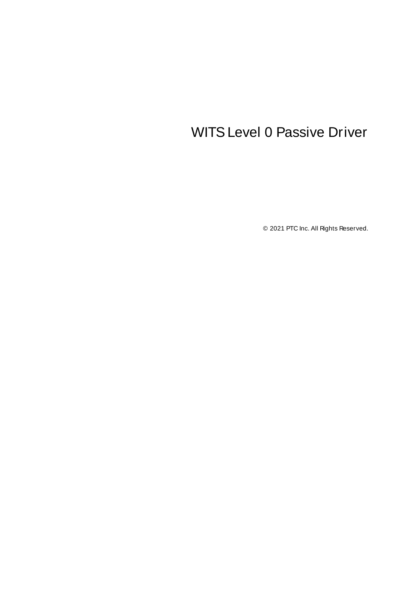# <span id="page-0-0"></span>WITSLevel 0 Passive Driver

© 2021 PTC Inc. All Rights Reserved.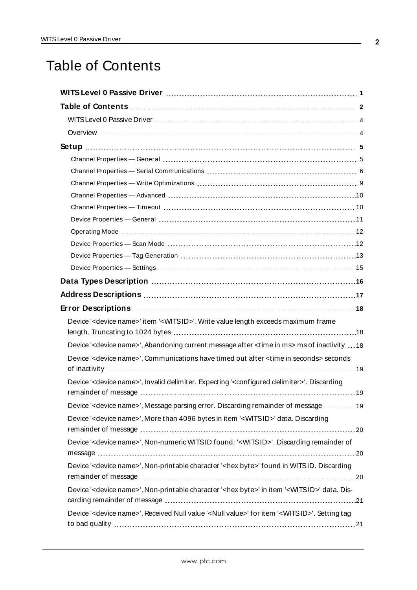# <span id="page-1-0"></span>Table of Contents

| Device ' <device name="">' item '<witsid>', Write value length exceeds maximum frame</witsid></device>                      |
|-----------------------------------------------------------------------------------------------------------------------------|
| Device ' <device name="">', Abandoning current message after <time in="" ms=""> ms of inactivity  18</time></device>        |
| Device ' <device name="">', Communications have timed out after <time in="" seconds=""> seconds</time></device>             |
| Device ' <device name="">', Invalid delimiter. Expecting '<configured delimiter="">'. Discarding</configured></device>      |
| Device ' <device name="">', Message parsing error. Discarding remainder of message 19</device>                              |
| Device ' <device name="">', More than 4096 bytes in item '<witsid>' data. Discarding</witsid></device>                      |
| Device ' <device name="">', Non-numeric WITSID found: '<witsid>'. Discarding remainder of</witsid></device>                 |
| Device ' <device name="">', Non-printable character '<hex byte="">' found in WITSID. Discarding</hex></device>              |
| Device ' <device name="">', Non-printable character '<hex byte="">' in item '<witsid>' data. Dis-</witsid></hex></device>   |
| Device ' <device name="">', Received Null value '<null value="">' for item '<witsid>'. Setting tag</witsid></null></device> |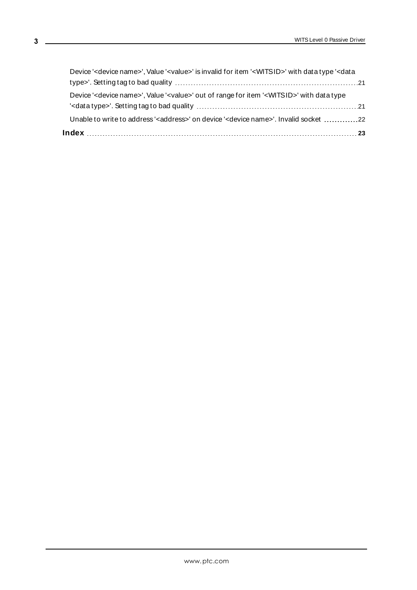| Device ' <device name="">', Value '<value>' is invalid for item '<witsid>' with data type '<data< th=""><th></th></data<></witsid></value></device> |  |
|-----------------------------------------------------------------------------------------------------------------------------------------------------|--|
|                                                                                                                                                     |  |
| Device ' <device name="">', Value '<value>' out of range for item '<witsid>' with data type</witsid></value></device>                               |  |
|                                                                                                                                                     |  |
| Unable to write to address' <address>' on device '<device name="">'. Invalid socket 22</device></address>                                           |  |
|                                                                                                                                                     |  |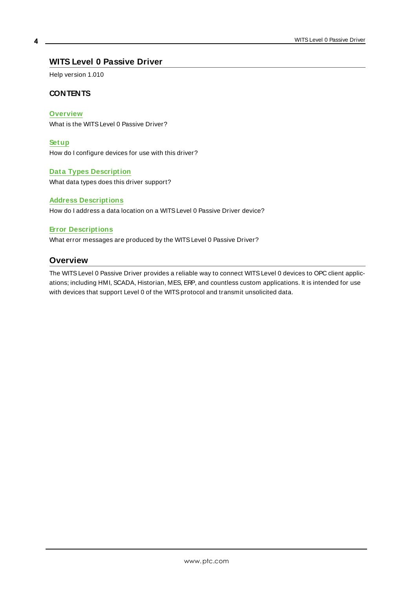### <span id="page-3-0"></span>**WITS Level 0 Passive Driver**

Help version 1.010

### **CONTENTS**

**[Overview](#page-3-1)**

What is the WITSLevel 0 Passive Driver?

**[Setup](#page-4-0)**

How do I configure devices for use with this driver?

#### **Data Types [Description](#page-15-0)**

What data types does this driver support?

#### **Address [Descriptions](#page-16-0)**

How do I address a data location on a WITS Level 0 Passive Driver device?

#### **Error [Descriptions](#page-17-0)**

<span id="page-3-1"></span>What error messages are produced by the WITSLevel 0 Passive Driver?

### **Overview**

The WITSLevel 0 Passive Driver provides a reliable way to connect WITSLevel 0 devices to OPC client applications; including HMI, SCADA, Historian, MES, ERP, and countless custom applications. It is intended for use with devices that support Level 0 of the WITS protocol and transmit unsolicited data.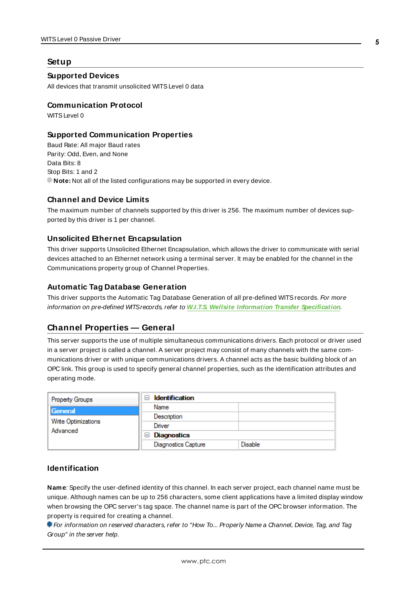#### <span id="page-4-0"></span>**Setup**

#### **Supported Devices**

All devices that transmit unsolicited WITSLevel 0 data

#### **Communication Protocol**

WITS Level 0

### **Supported Communication Properties**

Baud Rate: All major Baud rates Parity: Odd, Even, and None Data Bits: 8 Stop Bits: 1 and 2 **Note:** Not all of the listed configurations may be supported in every device.

### **Channel and Device Limits**

The maximum number of channels supported by this driver is 256. The maximum number of devices supported by this driver is 1 per channel.

### **Unsolicited Ethernet Encapsulation**

This driver supports Unsolicited Ethernet Encapsulation, which allows the driver to communicate with serial devices attached to an Ethernet network using a terminal server. It may be enabled for the channel in the Communications property group of Channel Properties.

### **Automatic Tag Database Generation**

This driver supports the Automatic Tag Database Generation of all pre-defined WITS records. For more information on pre-defined WITSrecords, refer to **W.I.T.S. Wellsite Information Transfer [Specification](http://home.sprynet.com/~carob/)**.

### <span id="page-4-1"></span>**Channel Properties — General**

This server supports the use of multiple simultaneous communications drivers. Each protocol or driver used in a server project is called a channel. A server project may consist of many channels with the same communications driver or with unique communications drivers. A channel acts as the basic building block of an OPC link. This group is used to specify general channel properties, such as the identification attributes and operating mode.

| <b>Property Groups</b> | <b>Identification</b>      |         |
|------------------------|----------------------------|---------|
| General                | Name                       |         |
|                        | Description                |         |
| Write Optimizations    | Driver                     |         |
| Advanced               | Diagnostics                |         |
|                        | <b>Diagnostics Capture</b> | Disable |

### **Identification**

**Name**: Specify the user-defined identity of this channel. In each server project, each channel name must be unique. Although names can be up to 256 characters, some client applications have a limited display window when browsing the OPC server's tag space. The channel name is part of the OPC browser information. The property is required for creating a channel.

For information on reserved characters, refer to "How To... Properly Name a Channel, Device, Tag, and Tag Group" in the server help.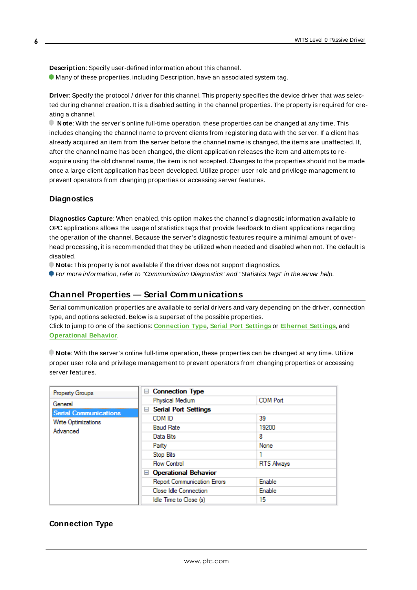**Description**: Specify user-defined information about this channel. **Many of these properties, including Description, have an associated system tag.** 

**Driver**: Specify the protocol / driver for this channel. This property specifies the device driver that was selected during channel creation. It is a disabled setting in the channel properties. The property is required for creating a channel.

**Note**: With the server's online full-time operation, these properties can be changed at any time. This includes changing the channel name to prevent clients from registering data with the server. If a client has already acquired an item from the server before the channel name is changed, the items are unaffected. If, after the channel name has been changed, the client application releases the item and attempts to reacquire using the old channel name, the item is not accepted. Changes to the properties should not be made once a large client application has been developed. Utilize proper user role and privilege management to prevent operators from changing properties or accessing server features.

### **Diagnostics**

**Diagnostics Capture**: When enabled, this option makes the channel's diagnostic information available to OPC applications allows the usage of statistics tags that provide feedback to client applications regarding the operation of the channel. Because the server's diagnostic features require a minimal amount of overhead processing, it is recommended that they be utilized when needed and disabled when not. The default is disabled.

**Note:** This property is not available if the driver does not support diagnostics.

<span id="page-5-0"></span>For more information, refer to "Communication Diagnostics" and "Statistics Tags" in the server help.

### **Channel Properties — Serial Communications**

Serial communication properties are available to serial drivers and vary depending on the driver, connection type, and options selected. Below is a superset of the possible properties. Click to jump to one of the sections: **[Connection](#page-5-1) Type**, **Serial Port [Settings](#page-6-0)** or **[Ethernet](#page-7-0) Settings**, and

**[Operational](#page-7-1) Behavior**.

**Note**: With the server's online full-time operation, these properties can be changed at any time. Utilize proper user role and privilege management to prevent operators from changing properties or accessing server features.

| Property Groups              | $\Box$ Connection Type             |                   |
|------------------------------|------------------------------------|-------------------|
| General                      | Physical Medium                    | <b>COM Port</b>   |
| <b>Serial Communications</b> | <b>Serial Port Settings</b><br>$=$ |                   |
| Write Optimizations          | COM ID                             | 39                |
| Advanced                     | <b>Baud Rate</b>                   | 19200             |
|                              | Data Bits                          | 8                 |
|                              | Parity                             | None              |
|                              | Stop Bits                          |                   |
|                              | <b>Flow Control</b>                | <b>RTS Always</b> |
|                              | □ Operational Behavior             |                   |
|                              | <b>Report Communication Errors</b> | Enable            |
|                              | Close Idle Connection              | Enable            |
|                              | Idle Time to Close (s)             | 15                |

### <span id="page-5-1"></span>**Connection Type**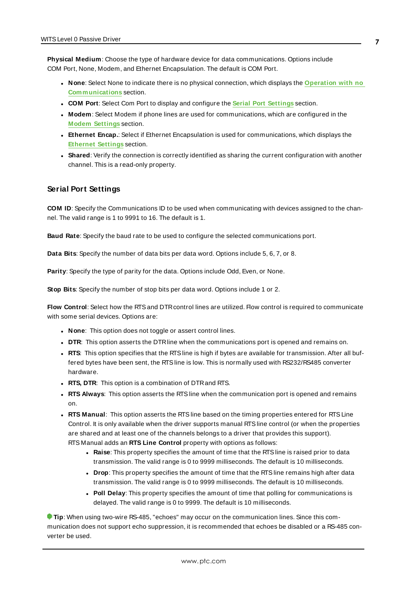**Physical Medium**: Choose the type of hardware device for data communications. Options include COM Port, None, Modem, and Ethernet Encapsulation. The default is COM Port.

- <sup>l</sup> **None**: Select None to indicate there is no physical connection, which displays the **[Operation](#page-7-2) with no [Communications](#page-7-2)** section.
- <sup>l</sup> **COM Port**: Select Com Port to display and configure the **Serial Port [Settings](#page-6-0)** section.
- **Modem**: Select Modem if phone lines are used for communications, which are configured in the **Modem [Settings](#page-7-3)** section.
- **Ethernet Encap.**: Select if Ethernet Encapsulation is used for communications, which displays the **[Ethernet](#page-7-0) Settings** section.
- Shared: Verify the connection is correctly identified as sharing the current configuration with another channel. This is a read-only property.

#### <span id="page-6-0"></span>**Serial Port Settings**

**COM ID**: Specify the Communications ID to be used when communicating with devices assigned to the channel. The valid range is 1 to 9991 to 16. The default is 1.

**Baud Rate**: Specify the baud rate to be used to configure the selected communications port.

**Data Bits**: Specify the number of data bits per data word. Options include 5, 6, 7, or 8.

**Parity**: Specify the type of parity for the data. Options include Odd, Even, or None.

**Stop Bits**: Specify the number of stop bits per data word. Options include 1 or 2.

**Flow Control**: Select how the RTSand DTRcontrol lines are utilized. Flow control is required to communicate with some serial devices. Options are:

- **None:** This option does not toggle or assert control lines.
- **DTR:** This option asserts the DTR line when the communications port is opened and remains on.
- **RTS:** This option specifies that the RTS line is high if bytes are available for transmission. After all buffered bytes have been sent, the RTSline is low. This is normally used with RS232/RS485 converter hardware.
- **RTS, DTR:** This option is a combination of DTR and RTS.
- <sup>l</sup> **RTS Always**: This option asserts the RTSline when the communication port is opened and remains on.
- <sup>l</sup> **RTS Manual**: This option asserts the RTSline based on the timing properties entered for RTSLine Control. It is only available when the driver supports manual RTSline control (or when the properties are shared and at least one of the channels belongs to a driver that provides this support). RTS Manual adds an **RTS Line Control** property with options as follows:
	- **Raise**: This property specifies the amount of time that the RTS line is raised prior to data transmission. The valid range is 0 to 9999 milliseconds. The default is 10 milliseconds.
	- **Drop**: This property specifies the amount of time that the RTS line remains high after data transmission. The valid range is 0 to 9999 milliseconds. The default is 10 milliseconds.
	- **Poll Delay**: This property specifies the amount of time that polling for communications is delayed. The valid range is 0 to 9999. The default is 10 milliseconds.

**Tip**: When using two-wire RS-485, "echoes" may occur on the communication lines. Since this communication does not support echo suppression, it is recommended that echoes be disabled or a RS-485 converter be used.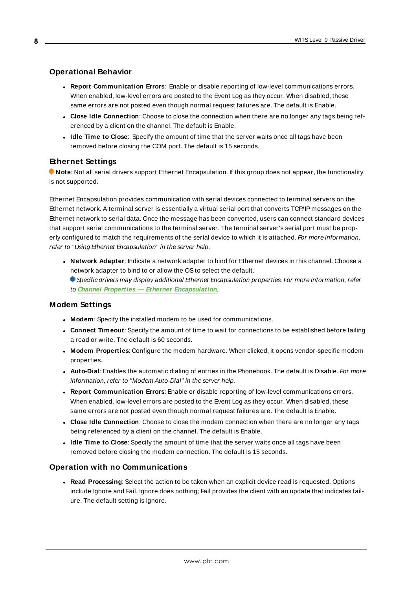### <span id="page-7-1"></span>**Operational Behavior**

- <sup>l</sup> **Report Communication Errors**: Enable or disable reporting of low-level communications errors. When enabled, low-level errors are posted to the Event Log as they occur. When disabled, these same errors are not posted even though normal request failures are. The default is Enable.
- <sup>l</sup> **Close Idle Connection**: Choose to close the connection when there are no longer any tags being referenced by a client on the channel. The default is Enable.
- <sup>l</sup> **Idle Time to Close**: Specify the amount of time that the server waits once all tags have been removed before closing the COM port. The default is 15 seconds.

### <span id="page-7-0"></span>**Ethernet Settings**

**Note**: Not all serial drivers support Ethernet Encapsulation. If this group does not appear, the functionality is not supported.

Ethernet Encapsulation provides communication with serial devices connected to terminal servers on the Ethernet network. A terminal server is essentially a virtual serial port that converts TCP/IP messages on the Ethernet network to serial data. Once the message has been converted, users can connect standard devices that support serial communications to the terminal server. The terminal server's serial port must be properly configured to match the requirements of the serial device to which it is attached. For more information, refer to "Using Ethernet Encapsulation" in the server help.

- **Network Adapter**: Indicate a network adapter to bind for Ethernet devices in this channel. Choose a network adapter to bind to or allow the OSto select the default.
	- Specific drivers may display additional Ethernet Encapsulation properties. For more information, refer to **Channel Properties — Ethernet Encapsulation**.

#### <span id="page-7-3"></span>**Modem Settings**

- **Modem**: Specify the installed modem to be used for communications.
- <sup>l</sup> **Connect Timeout**: Specify the amount of time to wait for connections to be established before failing a read or write. The default is 60 seconds.
- <sup>l</sup> **Modem Properties**: Configure the modem hardware. When clicked, it opens vendor-specific modem properties.
- **Auto-Dial**: Enables the automatic dialing of entries in the Phonebook. The default is Disable. For more information, refer to "Modem Auto-Dial" in the server help.
- <sup>l</sup> **Report Communication Errors**: Enable or disable reporting of low-level communications errors. When enabled, low-level errors are posted to the Event Log as they occur. When disabled, these same errors are not posted even though normal request failures are. The default is Enable.
- <sup>l</sup> **Close Idle Connection**: Choose to close the modem connection when there are no longer any tags being referenced by a client on the channel. The default is Enable.
- **.** Idle Time to Close: Specify the amount of time that the server waits once all tags have been removed before closing the modem connection. The default is 15 seconds.

#### <span id="page-7-2"></span>**Operation with no Communications**

<sup>l</sup> **Read Processing**: Select the action to be taken when an explicit device read is requested. Options include Ignore and Fail. Ignore does nothing; Fail provides the client with an update that indicates failure. The default setting is Ignore.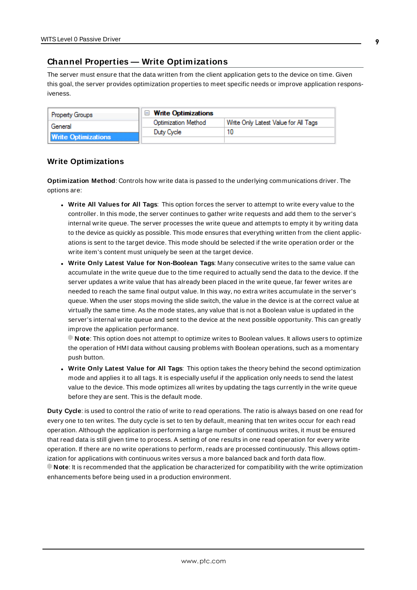### <span id="page-8-0"></span>**Channel Properties — Write Optimizations**

The server must ensure that the data written from the client application gets to the device on time. Given this goal, the server provides optimization properties to meet specific needs or improve application responsiveness.

| <b>Property Groups</b>     | $\Box$ Write Optimizations |                                      |
|----------------------------|----------------------------|--------------------------------------|
| General                    | <b>Optimization Method</b> | Write Only Latest Value for All Tags |
|                            | Duty Cycle                 |                                      |
| <b>Write Optimizations</b> |                            |                                      |

### **Write Optimizations**

**Optimization Method**: Controls how write data is passed to the underlying communications driver. The options are:

- <sup>l</sup> **Write All Values for All Tags**: This option forces the server to attempt to write every value to the controller. In this mode, the server continues to gather write requests and add them to the server's internal write queue. The server processes the write queue and attempts to empty it by writing data to the device as quickly as possible. This mode ensures that everything written from the client applications is sent to the target device. This mode should be selected if the write operation order or the write item's content must uniquely be seen at the target device.
- <sup>l</sup> **Write Only Latest Value for Non-Boolean Tags**: Many consecutive writes to the same value can accumulate in the write queue due to the time required to actually send the data to the device. If the server updates a write value that has already been placed in the write queue, far fewer writes are needed to reach the same final output value. In this way, no extra writes accumulate in the server's queue. When the user stops moving the slide switch, the value in the device is at the correct value at virtually the same time. As the mode states, any value that is not a Boolean value is updated in the server's internal write queue and sent to the device at the next possible opportunity. This can greatly improve the application performance.

**Note**: This option does not attempt to optimize writes to Boolean values. It allows users to optimize the operation of HMI data without causing problems with Boolean operations, such as a momentary push button.

**• Write Only Latest Value for All Tags**: This option takes the theory behind the second optimization mode and applies it to all tags. It is especially useful if the application only needs to send the latest value to the device. This mode optimizes all writes by updating the tags currently in the write queue before they are sent. This is the default mode.

**Duty Cycle**: is used to control the ratio of write to read operations. The ratio is always based on one read for every one to ten writes. The duty cycle is set to ten by default, meaning that ten writes occur for each read operation. Although the application is performing a large number of continuous writes, it must be ensured that read data is still given time to process. A setting of one results in one read operation for every write operation. If there are no write operations to perform, reads are processed continuously. This allows optimization for applications with continuous writes versus a more balanced back and forth data flow. **Note**: It is recommended that the application be characterized for compatibility with the write optimization enhancements before being used in a production environment.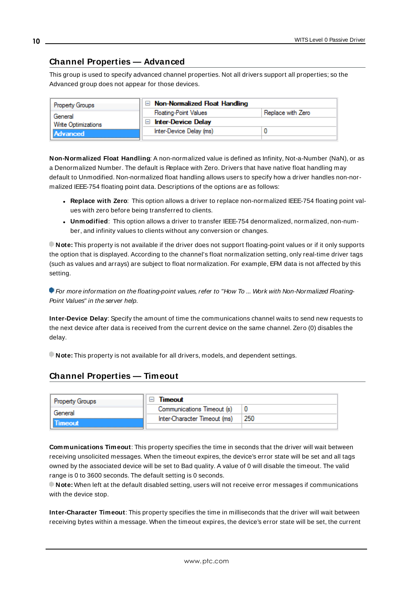### <span id="page-9-0"></span>**Channel Properties — Advanced**

This group is used to specify advanced channel properties. Not all drivers support all properties; so the Advanced group does not appear for those devices.

| <b>Property Groups</b> | $\Box$ Non-Normalized Float Handling        |                   |
|------------------------|---------------------------------------------|-------------------|
| General                | <b>Floating-Point Values</b>                | Replace with Zero |
| Write Optimizations    | <b>Inter-Device Delay</b><br>$\blacksquare$ |                   |
| Advanced               | Inter-Device Delay (ms)                     |                   |
|                        |                                             |                   |

**Non-Normalized Float Handling**: A non-normalized value is defined as Infinity, Not-a-Number (NaN), or as a Denormalized Number. The default is Replace with Zero. Drivers that have native float handling may default to Unmodified. Non-normalized float handling allows users to specify how a driver handles non-normalized IEEE-754 floating point data. Descriptions of the options are as follows:

- <sup>l</sup> **Replace with Zero**: This option allows a driver to replace non-normalized IEEE-754 floating point values with zero before being transferred to clients.
- <sup>l</sup> **Unmodified**: This option allows a driver to transfer IEEE-754 denormalized, normalized, non-number, and infinity values to clients without any conversion or changes.

**Note:** This property is not available if the driver does not support floating-point values or if it only supports the option that is displayed. According to the channel's float normalization setting, only real-time driver tags (such as values and arrays) are subject to float normalization. For example, EFM data is not affected by this setting.

For more information on the floating-point values, refer to "How To ... Work with Non-Normalized Floating-Point Values" in the server help.

**Inter-Device Delay**: Specify the amount of time the communications channel waits to send new requests to the next device after data is received from the current device on the same channel. Zero (0) disables the delay.

<span id="page-9-1"></span>**Note:** This property is not available for all drivers, models, and dependent settings.

### **Channel Properties — Timeout**

| <b>Property Groups</b> | Timeout                      |     |
|------------------------|------------------------------|-----|
| General                | Communications Timeout (s)   |     |
| <b>imeout</b>          | Inter-Character Timeout (ms) | 250 |
|                        |                              |     |

**Communications Timeout**: This property specifies the time in seconds that the driver will wait between receiving unsolicited messages. When the timeout expires, the device's error state will be set and all tags owned by the associated device will be set to Bad quality. A value of 0 will disable the timeout. The valid range is 0 to 3600 seconds. The default setting is 0 seconds.

**Note:** When left at the default disabled setting, users will not receive error messages if communications with the device stop.

**Inter-Character Timeout**: This property specifies the time in milliseconds that the driver will wait between receiving bytes within a message. When the timeout expires, the device's error state will be set, the current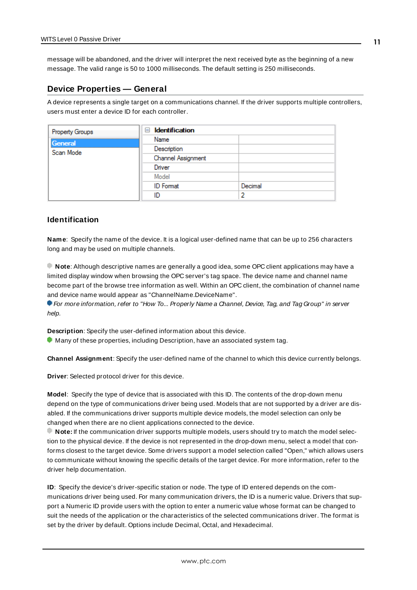message will be abandoned, and the driver will interpret the next received byte as the beginning of a new message. The valid range is 50 to 1000 milliseconds. The default setting is 250 milliseconds.

### <span id="page-10-0"></span>**Device Properties — General**

A device represents a single target on a communications channel. If the driver supports multiple controllers, users must enter a device ID for each controller.

| Property Groups | <b>Identification</b><br>$=$ |         |
|-----------------|------------------------------|---------|
| General         | Name                         |         |
| Scan Mode       | Description                  |         |
|                 | Channel Assignment           |         |
|                 | Driver                       |         |
|                 | Model                        |         |
|                 | <b>ID</b> Format             | Decimal |
|                 | ID                           | ∍       |

#### <span id="page-10-5"></span>**Identification**

**Name**: Specify the name of the device. It is a logical user-defined name that can be up to 256 characters long and may be used on multiple channels.

**Note**: Although descriptive names are generally a good idea, some OPC client applications may have a limited display window when browsing the OPC server's tag space. The device name and channel name become part of the browse tree information as well. Within an OPC client, the combination of channel name and device name would appear as "ChannelName.DeviceName".

For more information, refer to "How To... Properly Name a Channel, Device, Tag, and Tag Group" in server help.

**Description**: Specify the user-defined information about this device.

<span id="page-10-1"></span>Many of these properties, including Description, have an associated system tag.

<span id="page-10-2"></span>**Channel Assignment**: Specify the user-defined name of the channel to which this device currently belongs.

<span id="page-10-4"></span>**Driver**: Selected protocol driver for this device.

**Model**: Specify the type of device that is associated with this ID. The contents of the drop-down menu depend on the type of communications driver being used. Models that are not supported by a driver are disabled. If the communications driver supports multiple device models, the model selection can only be changed when there are no client applications connected to the device.

**Note:** If the communication driver supports multiple models, users should try to match the model selection to the physical device. If the device is not represented in the drop-down menu, select a model that conforms closest to the target device. Some drivers support a model selection called "Open," which allows users to communicate without knowing the specific details of the target device. For more information, refer to the driver help documentation.

<span id="page-10-3"></span>**ID**: Specify the device's driver-specific station or node. The type of ID entered depends on the communications driver being used. For many communication drivers, the ID is a numeric value. Drivers that support a Numeric ID provide users with the option to enter a numeric value whose format can be changed to suit the needs of the application or the characteristics of the selected communications driver. The format is set by the driver by default. Options include Decimal, Octal, and Hexadecimal.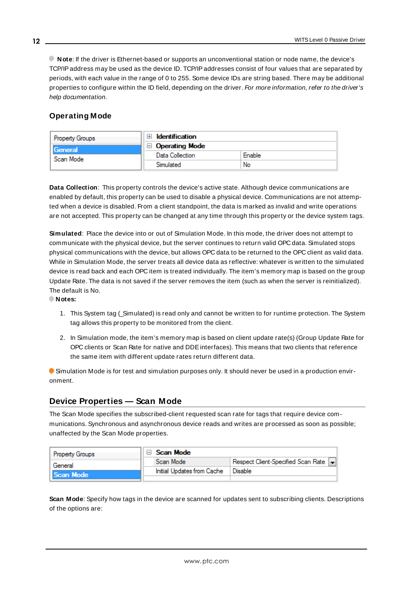**Note**: If the driver is Ethernet-based or supports an unconventional station or node name, the device's TCP/IPaddress may be used as the device ID. TCP/IPaddresses consist of four values that are separated by periods, with each value in the range of 0 to 255. Some device IDs are string based. There may be additional properties to configure within the ID field, depending on the driver. For more information, refer to the driver's help documentation.

### <span id="page-11-0"></span>**Operating Mode**

| <b>Property Groups</b> | <b>Identification</b> |        |
|------------------------|-----------------------|--------|
| General                | <b>Operating Mode</b> |        |
| Scan Mode              | Data Collection       | Enable |
|                        | Simulated             | No     |

<span id="page-11-2"></span>**Data Collection**: This property controls the device's active state. Although device communications are enabled by default, this property can be used to disable a physical device. Communications are not attempted when a device is disabled. From a client standpoint, the data is marked as invalid and write operations are not accepted. This property can be changed at any time through this property or the device system tags.

<span id="page-11-4"></span>**Simulated**: Place the device into or out of Simulation Mode. In this mode, the driver does not attempt to communicate with the physical device, but the server continues to return valid OPC data. Simulated stops physical communications with the device, but allows OPC data to be returned to the OPC client as valid data. While in Simulation Mode, the server treats all device data as reflective: whatever is written to the simulated device is read back and each OPC item is treated individually. The item's memory map is based on the group Update Rate. The data is not saved if the server removes the item (such as when the server is reinitialized). The default is No.

**Notes:**

- 1. This System tag (\_Simulated) is read only and cannot be written to for runtime protection. The System tag allows this property to be monitored from the client.
- 2. In Simulation mode, the item's memory map is based on client update rate(s) (Group Update Rate for OPC clients or Scan Rate for native and DDEinterfaces). This means that two clients that reference the same item with different update rates return different data.

 Simulation Mode is for test and simulation purposes only. It should never be used in a production environment.

### <span id="page-11-1"></span>**Device Properties — Scan Mode**

The Scan Mode specifies the subscribed-client requested scan rate for tags that require device communications. Synchronous and asynchronous device reads and writes are processed as soon as possible; unaffected by the Scan Mode properties.

| <b>Property Groups</b> | <b>⊟</b> Scan Mode         |                                    |
|------------------------|----------------------------|------------------------------------|
| General                | Scan Mode                  | Respect Client-Specified Scan Rate |
| Scan Mode              | Initial Updates from Cache | Disable                            |
|                        |                            |                                    |

<span id="page-11-3"></span>**Scan Mode**: Specify how tags in the device are scanned for updates sent to subscribing clients. Descriptions of the options are:

**12**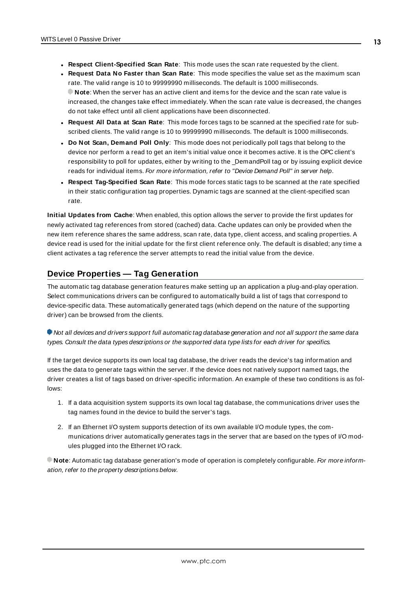- <sup>l</sup> **Respect Client-Specified Scan Rate**: This mode uses the scan rate requested by the client.
- <sup>l</sup> **Request Data No Faster than Scan Rate**: This mode specifies the value set as the maximum scan rate. The valid range is 10 to 99999990 milliseconds. The default is 1000 milliseconds. **Note**: When the server has an active client and items for the device and the scan rate value is increased, the changes take effect immediately. When the scan rate value is decreased, the changes do not take effect until all client applications have been disconnected.
- <sup>l</sup> **Request All Data at Scan Rate**: This mode forces tags to be scanned at the specified rate for subscribed clients. The valid range is 10 to 99999990 milliseconds. The default is 1000 milliseconds.
- <span id="page-12-1"></span><sup>l</sup> **Do Not Scan, Demand Poll Only**: This mode does not periodically poll tags that belong to the device nor perform a read to get an item's initial value once it becomes active. It is the OPC client's responsibility to poll for updates, either by writing to the \_DemandPoll tag or by issuing explicit device reads for individual items. For more information, refer to "Device Demand Poll" in server help.
- <span id="page-12-3"></span><sup>l</sup> **Respect Tag-Specified Scan Rate**: This mode forces static tags to be scanned at the rate specified in their static configuration tag properties. Dynamic tags are scanned at the client-specified scan rate.

<span id="page-12-2"></span>**Initial Updates from Cache**: When enabled, this option allows the server to provide the first updates for newly activated tag references from stored (cached) data. Cache updates can only be provided when the new item reference shares the same address, scan rate, data type, client access, and scaling properties. A device read is used for the initial update for the first client reference only. The default is disabled; any time a client activates a tag reference the server attempts to read the initial value from the device.

### <span id="page-12-0"></span>**Device Properties — Tag Generation**

The automatic tag database generation features make setting up an application a plug-and-play operation. Select communications drivers can be configured to automatically build a list of tags that correspond to device-specific data. These automatically generated tags (which depend on the nature of the supporting driver) can be browsed from the clients.

### Not all devices and drivers support full automatic tag database generation and not all support the same data types. Consult the data types descriptions or the supported data type lists for each driver for specifics.

If the target device supports its own local tag database, the driver reads the device's tag information and uses the data to generate tags within the server. If the device does not natively support named tags, the driver creates a list of tags based on driver-specific information. An example of these two conditions is as follows:

- 1. If a data acquisition system supports its own local tag database, the communications driver uses the tag names found in the device to build the server's tags.
- 2. If an Ethernet I/O system supports detection of its own available I/O module types, the communications driver automatically generates tags in the server that are based on the types of I/O modules plugged into the Ethernet I/O rack.

**Note:** Automatic tag database generation's mode of operation is completely configurable. For more information, refer to the property descriptions below.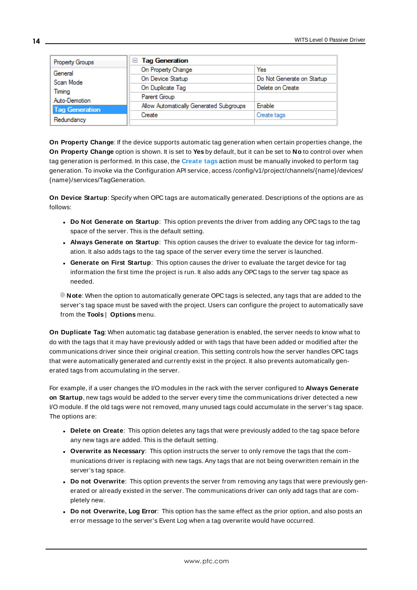| Property Groups       | □ Tag Generation                        |                            |
|-----------------------|-----------------------------------------|----------------------------|
| General               | On Property Change                      | Yes                        |
| Scan Mode             | On Device Startup                       | Do Not Generate on Startup |
| Timing                | On Duplicate Tag                        | Delete on Create           |
| Auto-Demotion         | Parent Group                            |                            |
| <b>Tag Generation</b> | Allow Automatically Generated Subgroups | Enable                     |
|                       | Create                                  | Create tags                |
| Redundancy            |                                         |                            |

<span id="page-13-4"></span>**On Property Change**: If the device supports automatic tag generation when certain properties change, the **On Property Change** option is shown. It is set to **Yes** by default, but it can be set to **No** to control over when tag generation is performed. In this case, the **Create tags** action must be manually invoked to perform tag generation. To invoke via the Configuration API service, access /config/v1/project/channels/{name}/devices/ {name}/services/TagGeneration.

<span id="page-13-2"></span>**On Device Startup**: Specify when OPC tags are automatically generated. Descriptions of the options are as follows:

- <span id="page-13-1"></span><sup>l</sup> **Do Not Generate on Startup**: This option prevents the driver from adding any OPC tags to the tag space of the server. This is the default setting.
- <sup>l</sup> **Always Generate on Startup**: This option causes the driver to evaluate the device for tag information. It also adds tags to the tag space of the server every time the server is launched.
- <sup>l</sup> **Generate on First Startup**: This option causes the driver to evaluate the target device for tag information the first time the project is run. It also adds any OPC tags to the server tag space as needed.

**Note**: When the option to automatically generate OPC tags is selected, any tags that are added to the server's tag space must be saved with the project. Users can configure the project to automatically save from the **Tools** | **Options** menu.

<span id="page-13-3"></span>**On Duplicate Tag**: When automatic tag database generation is enabled, the server needs to know what to do with the tags that it may have previously added or with tags that have been added or modified after the communications driver since their original creation. This setting controls how the server handles OPC tags that were automatically generated and currently exist in the project. It also prevents automatically generated tags from accumulating in the server.

For example, if a user changes the I/O modules in the rack with the server configured to **Always Generate on Startup**, new tags would be added to the server every time the communications driver detected a new I/O module. If the old tags were not removed, many unused tags could accumulate in the server's tag space. The options are:

- <span id="page-13-0"></span>**.** Delete on Create: This option deletes any tags that were previously added to the tag space before any new tags are added. This is the default setting.
- <span id="page-13-5"></span><sup>l</sup> **Overwrite as Necessary**: This option instructs the server to only remove the tags that the communications driver is replacing with new tags. Any tags that are not being overwritten remain in the server's tag space.
- <sup>l</sup> **Do not Overwrite**: This option prevents the server from removing any tags that were previously generated or already existed in the server. The communications driver can only add tags that are completely new.
- <sup>l</sup> **Do not Overwrite, Log Error**: This option has the same effect as the prior option, and also posts an error message to the server's Event Log when a tag overwrite would have occurred.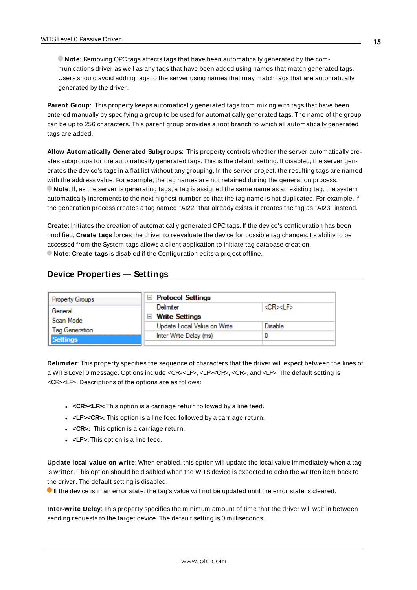**Note:** Removing OPC tags affects tags that have been automatically generated by the communications driver as well as any tags that have been added using names that match generated tags. Users should avoid adding tags to the server using names that may match tags that are automatically generated by the driver.

<span id="page-14-3"></span>**Parent Group**: This property keeps automatically generated tags from mixing with tags that have been entered manually by specifying a group to be used for automatically generated tags. The name of the group can be up to 256 characters. This parent group provides a root branch to which all automatically generated tags are added.

<span id="page-14-1"></span>**Allow Automatically Generated Subgroups**: This property controls whether the server automatically creates subgroups for the automatically generated tags. This is the default setting. If disabled, the server generates the device's tags in a flat list without any grouping. In the server project, the resulting tags are named with the address value. For example, the tag names are not retained during the generation process. **Note**: If, as the server is generating tags, a tag is assigned the same name as an existing tag, the system automatically increments to the next highest number so that the tag name is not duplicated. For example, if the generation process creates a tag named "AI22" that already exists, it creates the tag as "AI23" instead.

<span id="page-14-2"></span>**Create**: Initiates the creation of automatically generated OPC tags. If the device's configuration has been modified, **Create tags** forces the driver to reevaluate the device for possible tag changes. Its ability to be accessed from the System tags allows a client application to initiate tag database creation. **Note**: **Create tags** is disabled if the Configuration edits a project offline.

### <span id="page-14-0"></span>**Device Properties — Settings**

| <b>Property Groups</b> | $\Box$ Protocol Settings    |                    |
|------------------------|-----------------------------|--------------------|
| General                | Delimiter                   | <cr><lf></lf></cr> |
| Scan Mode              | $\Box$ Write Settings       |                    |
| Tag Generation         | Update Local Value on Write | Disable            |
| <b>Settings</b>        | Inter-Write Delay (ms)      |                    |
|                        |                             |                    |

**Delimiter**: This property specifies the sequence of characters that the driver will expect between the lines of a WITSLevel 0 message. Options include <CR><LF>, <LF><CR>, <CR>, and <LF>. The default setting is <CR><LF>. Descriptions of the options are as follows:

- **.** <CR><LF>: This option is a carriage return followed by a line feed.
- **.** <LF><CR>: This option is a line feed followed by a carriage return.
- **.** <CR>: This option is a carriage return.
- **.** <LF>: This option is a line feed.

**Update local value on write**: When enabled, this option will update the local value immediately when a tag is written. This option should be disabled when the WITS device is expected to echo the written item back to the driver. The default setting is disabled.

If the device is in an error state, the tag's value will not be updated until the error state is cleared.

**Inter-write Delay**: This property specifies the minimum amount of time that the driver will wait in between sending requests to the target device. The default setting is 0 milliseconds.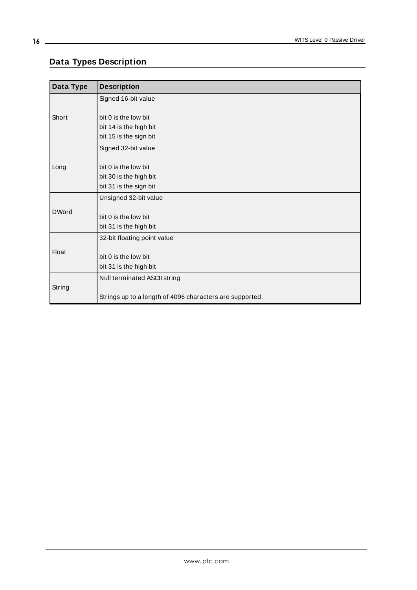# <span id="page-15-0"></span>**Data Types Description**

| Data Type    | <b>Description</b>                                       |
|--------------|----------------------------------------------------------|
| Short        | Signed 16-bit value                                      |
|              |                                                          |
|              | bit 0 is the low bit                                     |
|              | bit 14 is the high bit                                   |
|              | bit 15 is the sign bit                                   |
| Long         | Signed 32-bit value                                      |
|              |                                                          |
|              | bit 0 is the low bit                                     |
|              | bit 30 is the high bit                                   |
|              | bit 31 is the sign bit                                   |
|              | Unsigned 32-bit value                                    |
| <b>DWord</b> |                                                          |
|              | bit 0 is the low bit                                     |
|              | bit 31 is the high bit                                   |
| <b>Float</b> | 32-bit floating point value                              |
|              |                                                          |
|              | bit 0 is the low bit                                     |
|              | bit 31 is the high bit                                   |
| String       | Null terminated ASCII string                             |
|              |                                                          |
|              | Strings up to a length of 4096 characters are supported. |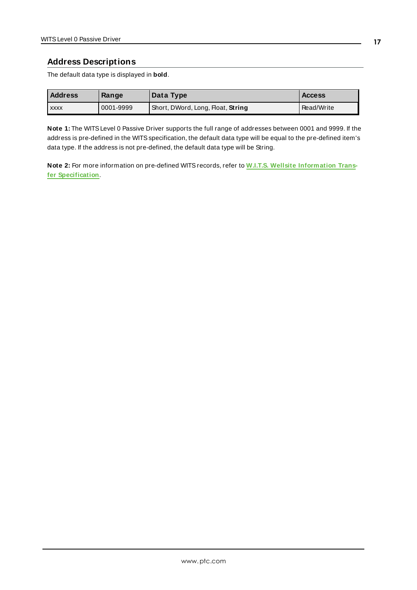### <span id="page-16-0"></span>**Address Descriptions**

The default data type is displayed in **bold**.

| <b>Address</b> | Range     | Data Type                         | <b>Access</b> |
|----------------|-----------|-----------------------------------|---------------|
| <b>XXXX</b>    | 0001-9999 | Short, DWord, Long, Float, String | Read/Write    |

**Note 1:** The WITSLevel 0 Passive Driver supports the full range of addresses between 0001 and 9999. If the address is pre-defined in the WITSspecification, the default data type will be equal to the pre-defined item's data type. If the address is not pre-defined, the default data type will be String.

**Note 2:** For more information on pre-defined WITSrecords, refer to **W.I.T.S. Wellsite [Information](http://home.sprynet.com/~carob/) Transfer [Specification](http://home.sprynet.com/~carob/)**.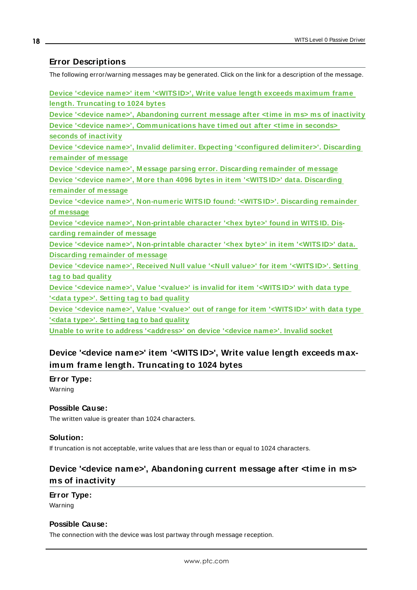### <span id="page-17-0"></span>**Error Descriptions**

The following error/warning messages may be generated. Click on the link for a description of the message.

| Device ' <device name="">' item '<witsid>', Write value length exceeds maximum frame</witsid></device>                  |
|-------------------------------------------------------------------------------------------------------------------------|
| length. Truncating to 1024 bytes                                                                                        |
| Device ' <device name="">', Abandoning current message after <time in="" ms=""> ms of inactivity</time></device>        |
| Device ' <device name="">', Communications have timed out after <time in="" seconds=""></time></device>                 |
| seconds of inactivity                                                                                                   |
| Device ' <device name="">', Invalid delimiter. Expecting '<configured delimiter="">'. Discarding</configured></device>  |
| remainder of message                                                                                                    |
| Device ' <device name="">', Message parsing error. Discarding remainder of message</device>                             |
| Device ' <device name="">', More than 4096 bytes in item '<witsid>' data. Discarding</witsid></device>                  |
| remainder of message                                                                                                    |
| Device ' <device name="">', Non-numeric WITSID found: '<witsid>'. Discarding remainder</witsid></device>                |
| of message                                                                                                              |
| Device ' <device name="">', Non-printable character '<hex byte="">' found in WITSID. Dis-</hex></device>                |
| carding remainder of message                                                                                            |
| Device ' <device name="">', Non-printable character '<hex byte="">' in item '<witsid>' data.</witsid></hex></device>    |
| <b>Discarding remainder of message</b>                                                                                  |
| Device ' <device name="">', Received Null value '<null value="">' for item '<witsid>'. Setting</witsid></null></device> |
| tag to bad quality                                                                                                      |
| Device ' <device name="">', Value '<value>' is invalid for item '<witsid>' with data type</witsid></value></device>     |
| ' <data type="">'. Setting tag to bad quality</data>                                                                    |
| Device ' <device name="">', Value '<value>' out of range for item '<witsid>' with data type</witsid></value></device>   |
| ' <data type="">'. Setting tag to bad quality</data>                                                                    |
|                                                                                                                         |

<span id="page-17-1"></span>**Unable to write to address ['<address>'](#page-21-0) on device '<device name>'. Invalid socket**

# **Device '<device name>' item '<WITS ID>', Write value length exceeds maximum frame length. Truncating to 1024 bytes**

### **Error Type:**

Warning

### **Possible Cause:**

The written value is greater than 1024 characters.

### **Solution:**

<span id="page-17-2"></span>If truncation is not acceptable, write values that are less than or equal to 1024 characters.

# **Device '<device name>', Abandoning current message after <time in ms> ms of inactivity**

**Error Type:** Warning

### **Possible Cause:**

The connection with the device was lost partway through message reception.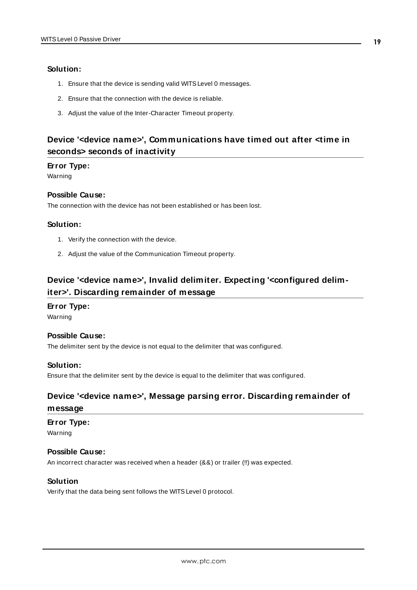### **Solution:**

- 1. Ensure that the device is sending valid WITSLevel 0 messages.
- 2. Ensure that the connection with the device is reliable.
- 3. Adjust the value of the Inter-Character Timeout property.

## <span id="page-18-0"></span>**Device '<device name>', Communications have timed out after <time in seconds> seconds of inactivity**

#### **Error Type:**

Warning

### **Possible Cause:**

The connection with the device has not been established or has been lost.

#### **Solution:**

- 1. Verify the connection with the device.
- 2. Adjust the value of the Communication Timeout property.

# <span id="page-18-1"></span>**Device '<device name>', Invalid delimiter. Expecting '<configured delimiter>'. Discarding remainder of message**

### **Error Type:**

Warning

#### **Possible Cause:**

The delimiter sent by the device is not equal to the delimiter that was configured.

**Solution:** Ensure that the delimiter sent by the device is equal to the delimiter that was configured.

# <span id="page-18-2"></span>**Device '<device name>', Message parsing error. Discarding remainder of**

### **message**

#### **Error Type:**

Warning

### **Possible Cause:**

An incorrect character was received when a header (&&) or trailer (!!) was expected.

### **Solution**

Verify that the data being sent follows the WITSLevel 0 protocol.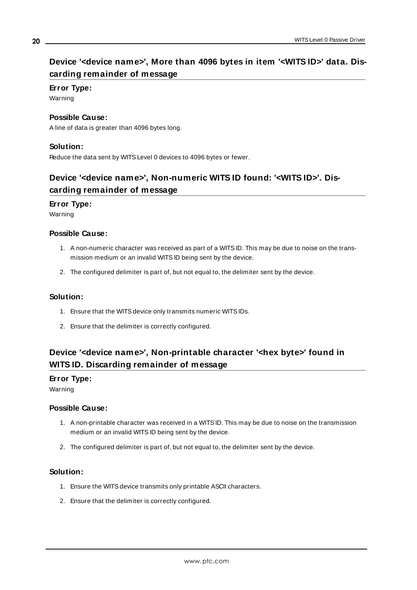# <span id="page-19-0"></span>**Device '<device name>', More than 4096 bytes in item '<WITS ID>' data. Discarding remainder of message**

### **Error Type:**

Warning

### **Possible Cause:**

A line of data is greater than 4096 bytes long.

### **Solution:**

<span id="page-19-1"></span>Reduce the data sent by WITSLevel 0 devices to 4096 bytes or fewer.

# **Device '<device name>', Non-numeric WITS ID found: '<WITS ID>'. Discarding remainder of message**

### **Error Type:**

Warning

### **Possible Cause:**

- 1. A non-numeric character was received as part of a WITSID. This may be due to noise on the transmission medium or an invalid WITSID being sent by the device.
- 2. The configured delimiter is part of, but not equal to, the delimiter sent by the device.

### **Solution:**

- 1. Ensure that the WITSdevice only transmits numeric WITSIDs.
- 2. Ensure that the delimiter is correctly configured.

# <span id="page-19-2"></span>**Device '<device name>', Non-printable character '<hex byte>' found in WITS ID. Discarding remainder of message**

### **Error Type:**

Warning

### **Possible Cause:**

- 1. A non-printable character was received in a WITSID. This may be due to noise on the transmission medium or an invalid WITSID being sent by the device.
- 2. The configured delimiter is part of, but not equal to, the delimiter sent by the device.

### **Solution:**

- 1. Ensure the WITS device transmits only printable ASCII characters.
- 2. Ensure that the delimiter is correctly configured.

### **20**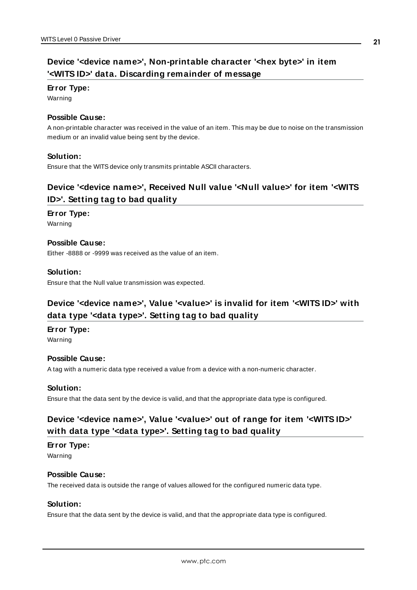# <span id="page-20-0"></span>**Device '<device name>', Non-printable character '<hex byte>' in item '<WITS ID>' data. Discarding remainder of message**

#### **Error Type:**

Warning

### **Possible Cause:**

A non-printable character was received in the value of an item. This may be due to noise on the transmission medium or an invalid value being sent by the device.

### **Solution:**

<span id="page-20-1"></span>Ensure that the WITS device only transmits printable ASCII characters.

# **Device '<device name>', Received Null value '<Null value>' for item '<WITS ID>'. Setting tag to bad quality**

### **Error Type:**

Warning

### **Possible Cause:**

Either -8888 or -9999 was received as the value of an item.

### **Solution:**

<span id="page-20-2"></span>Ensure that the Null value transmission was expected.

# **Device '<device name>', Value '<value>' is invalid for item '<WITS ID>' with data type '<data type>'. Setting tag to bad quality**

### **Error Type:**

Warning

### **Possible Cause:**

A tag with a numeric data type received a value from a device with a non-numeric character.

### **Solution:**

<span id="page-20-3"></span>Ensure that the data sent by the device is valid, and that the appropriate data type is configured.

# **Device '<device name>', Value '<value>' out of range for item '<WITS ID>' with data type '<data type>'. Setting tag to bad quality**

### **Error Type:**

Warning

### **Possible Cause:**

The received data is outside the range of values allowed for the configured numeric data type.

### **Solution:**

Ensure that the data sent by the device is valid, and that the appropriate data type is configured.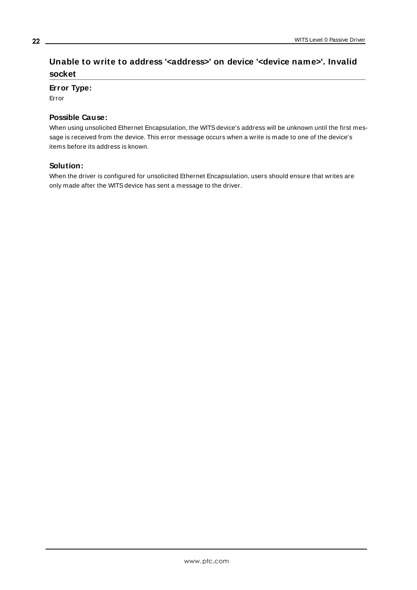# <span id="page-21-0"></span>**Unable to write to address '<address>' on device '<device name>'. Invalid socket**

### **Error Type:**

Error

### **Possible Cause:**

When using unsolicited Ethernet Encapsulation, the WITS device's address will be unknown until the first message is received from the device. This error message occurs when a write is made to one of the device's items before its address is known.

### **Solution:**

When the driver is configured for unsolicited Ethernet Encapsulation, users should ensure that writes are only made after the WITSdevice has sent a message to the driver.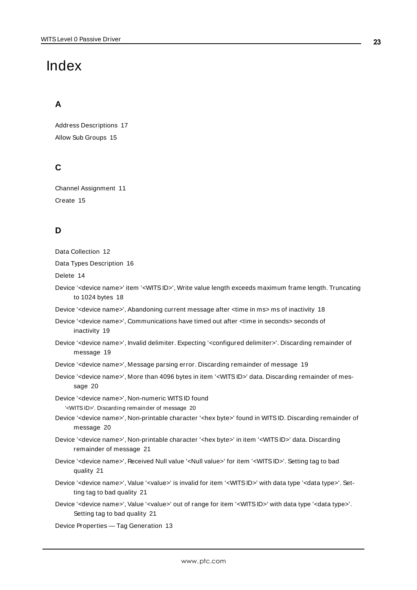# <span id="page-22-0"></span>Index

# **A**

Address Descriptions [17](#page-16-0) Allow Sub Groups [15](#page-14-1)

# **C**

Channel Assignment [11](#page-10-1) Create [15](#page-14-2)

# **D**

| Data Collection 12                                                                                                                                                                 |
|------------------------------------------------------------------------------------------------------------------------------------------------------------------------------------|
| Data Types Description 16                                                                                                                                                          |
| Delete 14                                                                                                                                                                          |
| Device ' <device name="">' item '<wits id="">', Write value length exceeds maximum frame length. Truncating<br/>to 1024 bytes 18</wits></device>                                   |
| Device ' <device name="">', Abandoning current message after <time in="" ms=""> ms of inactivity 18</time></device>                                                                |
| Device ' <device name="">', Communications have timed out after <time in="" seconds=""> seconds of<br/>inactivity 19</time></device>                                               |
| Device ' <device name="">', Invalid delimiter. Expecting '<configured delimiter="">'. Discarding remainder of<br/>message 19</configured></device>                                 |
| Device ' <device name="">', Message parsing error. Discarding remainder of message 19</device>                                                                                     |
| Device ' <device name="">', More than 4096 bytes in item '<wits id="">' data. Discarding remainder of mes-<br/>sage 20</wits></device>                                             |
| Device '< device name>', Non-numeric WITS ID found                                                                                                                                 |
| ' <wits id="">'. Discarding remainder of message 20</wits>                                                                                                                         |
| Device ' <device name="">', Non-printable character '<hex byte="">' found in WITS ID. Discarding remainder of<br/>message 20</hex></device>                                        |
| Device ' <device name="">', Non-printable character '<hex byte="">' in item '<wits id="">' data. Discarding<br/>remainder of message 21</wits></hex></device>                      |
| Device ' <device name="">', Received Null value '<null value="">' for item '<wits id="">'. Setting tag to bad<br/>quality 21</wits></null></device>                                |
| Device ' <device name="">', Value '<value>' is invalid for item '<wits id="">' with data type '<data type="">'. Set-<br/>ting tag to bad quality 21</data></wits></value></device> |
| Device ' <device name="">', Value '<value>' out of range for item '<wits id="">' with data type '<data type="">'.<br/>Setting tag to bad quality 21</data></wits></value></device> |
| Device Properties - Tag Generation 13                                                                                                                                              |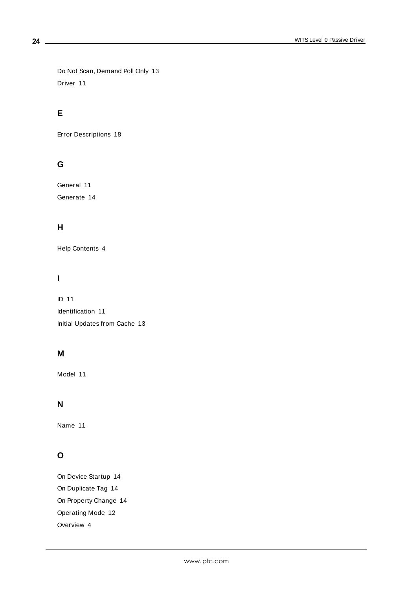Do Not Scan, Demand Poll Only [13](#page-12-1) Driver [11](#page-10-2)

# **E**

Error Descriptions [18](#page-17-0)

# **G**

General [11](#page-10-0) Generate [14](#page-13-1)

# **H**

Help Contents [4](#page-3-0)

## **I**

ID [11](#page-10-3) Identification [11](#page-10-0) Initial Updates from Cache [13](#page-12-2)

## **M**

Model [11](#page-10-4)

### **N**

Name [11](#page-10-5)

# **O**

On Device Startup [14](#page-13-2) On Duplicate Tag [14](#page-13-3) On Property Change [14](#page-13-4) Operating Mode [12](#page-11-0) Overview [4](#page-3-1)